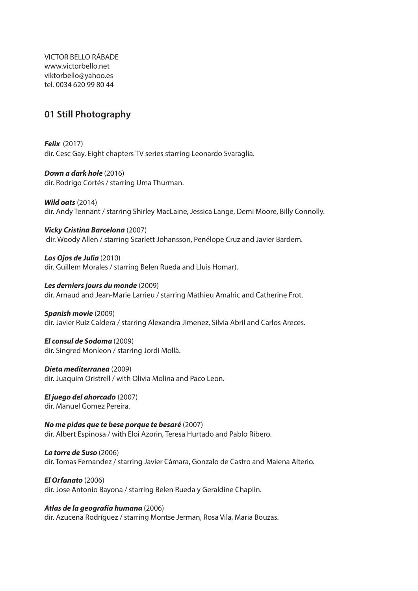VICTOR BELLO RÁBADE www.victorbello.net viktorbello@yahoo.es tel. 0034 620 99 80 44

## **01 Still Photography**

*Felix* (2017) dir. Cesc Gay. Eight chapters TV series starring Leonardo Svaraglia.

*Down a dark hole* (2016) dir. Rodrigo Cortés / starring Uma Thurman.

*Wild oats* (2014) dir. Andy Tennant / starring Shirley MacLaine, Jessica Lange, Demi Moore, Billy Connolly.

*Vicky Cristina Barcelona* (2007) dir. Woody Allen / starring Scarlett Johansson, Penélope Cruz and Javier Bardem.

*Los Ojos de Julia* (2010) dir. Guillem Morales / starring Belen Rueda and Lluis Homar).

*Les derniers jours du monde* (2009) dir. Arnaud and Jean-Marie Larrieu / starring Mathieu Amalric and Catherine Frot.

*Spanish movie* (2009) dir. Javier Ruiz Caldera / starring Alexandra Jimenez, Silvia Abril and Carlos Areces.

*El consul de Sodoma* (2009) dir. Singred Monleon / starring Jordi Mollà.

*Dieta mediterranea* (2009) dir. Juaquim Oristrell / with Olivia Molina and Paco Leon.

*El juego del ahorcado* (2007) dir. Manuel Gomez Pereira.

*No me pidas que te bese porque te besaré* (2007) dir. Albert Espinosa / with Eloi Azorin, Teresa Hurtado and Pablo Ribero.

*La torre de Suso* (2006) dir. Tomas Fernandez / starring Javier Cámara, Gonzalo de Castro and Malena Alterio.

*El Orfanato* (2006) dir. Jose Antonio Bayona / starring Belen Rueda y Geraldine Chaplin.

*Atlas de la geografía humana* (2006) dir. Azucena Rodríguez / starring Montse Jerman, Rosa Vila, Maria Bouzas.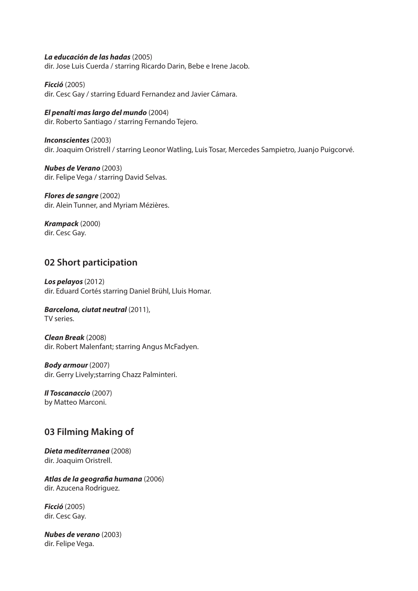### *La educación de las hadas* (2005)

dir. Jose Luis Cuerda / starring Ricardo Darin, Bebe e Irene Jacob.

*Ficció* (2005) dir. Cesc Gay / starring Eduard Fernandez and Javier Cámara.

## *El penalti mas largo del mundo* (2004)

dir. Roberto Santiago / starring Fernando Tejero.

*Inconscientes* (2003) dir. Joaquim Oristrell / starring Leonor Watling, Luis Tosar, Mercedes Sampietro, Juanjo Puigcorvé.

*Nubes de Verano* (2003) dir. Felipe Vega / starring David Selvas.

*Flores de sangre* (2002) dir. Alein Tunner, and Myriam Mézières.

*Krampack* (2000) dir. Cesc Gay.

## **02 Short participation**

*Los pelayos* (2012) dir. Eduard Cortés starring Daniel Brühl, Lluis Homar.

#### *Barcelona, ciutat neutral* (2011), TV series.

*Clean Break* (2008) dir. Robert Malenfant; starring Angus McFadyen.

*Body armour* (2007) dir. Gerry Lively;starring Chazz Palminteri.

*Il Toscanaccio* (2007) by Matteo Marconi.

## **03 Filming Making of**

*Dieta mediterranea* (2008) dir. Joaquim Oristrell.

*Atlas de la geografia humana* (2006) dir. Azucena Rodriguez.

*Ficció* (2005) dir. Cesc Gay.

*Nubes de verano* (2003) dir. Felipe Vega.